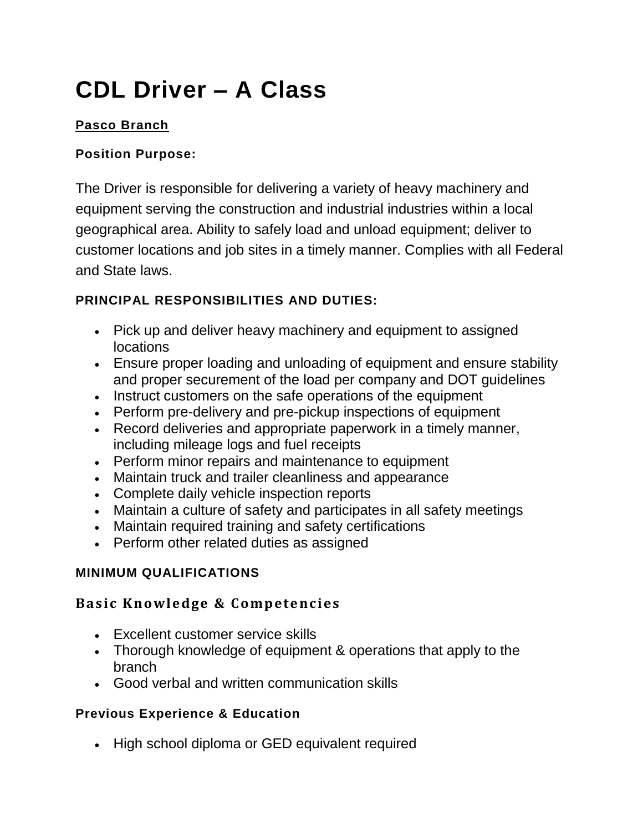# **CDL Driver – A Class**

## **Pasco Branch**

### **Position Purpose:**

The Driver is responsible for delivering a variety of heavy machinery and equipment serving the construction and industrial industries within a local geographical area. Ability to safely load and unload equipment; deliver to customer locations and job sites in a timely manner. Complies with all Federal and State laws.

## **PRINCIPAL RESPONSIBILITIES AND DUTIES:**

- Pick up and deliver heavy machinery and equipment to assigned **locations**
- Ensure proper loading and unloading of equipment and ensure stability and proper securement of the load per company and DOT guidelines
- Instruct customers on the safe operations of the equipment
- Perform pre-delivery and pre-pickup inspections of equipment
- Record deliveries and appropriate paperwork in a timely manner, including mileage logs and fuel receipts
- Perform minor repairs and maintenance to equipment
- Maintain truck and trailer cleanliness and appearance
- Complete daily vehicle inspection reports
- Maintain a culture of safety and participates in all safety meetings
- Maintain required training and safety certifications
- Perform other related duties as assigned

#### **MINIMUM QUALIFICATIONS**

## **Basic Knowledge & Competencies**

- Excellent customer service skills
- Thorough knowledge of equipment & operations that apply to the branch
- Good verbal and written communication skills

#### **Previous Experience & Education**

• High school diploma or GED equivalent required